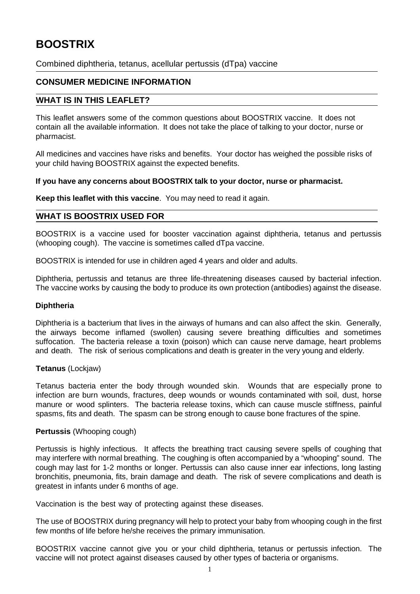# **BOOSTRIX**

Combined diphtheria, tetanus, acellular pertussis (dTpa) vaccine

# **CONSUMER MEDICINE INFORMATION**

# **WHAT IS IN THIS LEAFLET?**

This leaflet answers some of the common questions about BOOSTRIX vaccine. It does not contain all the available information. It does not take the place of talking to your doctor, nurse or pharmacist.

All medicines and vaccines have risks and benefits. Your doctor has weighed the possible risks of your child having BOOSTRIX against the expected benefits.

# **If you have any concerns about BOOSTRIX talk to your doctor, nurse or pharmacist.**

**Keep this leaflet with this vaccine**. You may need to read it again.

# **WHAT IS BOOSTRIX USED FOR**

BOOSTRIX is a vaccine used for booster vaccination against diphtheria, tetanus and pertussis (whooping cough). The vaccine is sometimes called dTpa vaccine.

BOOSTRIX is intended for use in children aged 4 years and older and adults.

Diphtheria, pertussis and tetanus are three life-threatening diseases caused by bacterial infection. The vaccine works by causing the body to produce its own protection (antibodies) against the disease.

# **Diphtheria**

Diphtheria is a bacterium that lives in the airways of humans and can also affect the skin. Generally, the airways become inflamed (swollen) causing severe breathing difficulties and sometimes suffocation. The bacteria release a toxin (poison) which can cause nerve damage, heart problems and death. The risk of serious complications and death is greater in the very young and elderly.

# **Tetanus** (Lockjaw)

Tetanus bacteria enter the body through wounded skin. Wounds that are especially prone to infection are burn wounds, fractures, deep wounds or wounds contaminated with soil, dust, horse manure or wood splinters. The bacteria release toxins, which can cause muscle stiffness, painful spasms, fits and death. The spasm can be strong enough to cause bone fractures of the spine.

# **Pertussis** (Whooping cough)

Pertussis is highly infectious. It affects the breathing tract causing severe spells of coughing that may interfere with normal breathing. The coughing is often accompanied by a "whooping" sound. The cough may last for 1-2 months or longer. Pertussis can also cause inner ear infections, long lasting bronchitis, pneumonia, fits, brain damage and death. The risk of severe complications and death is greatest in infants under 6 months of age.

Vaccination is the best way of protecting against these diseases.

The use of BOOSTRIX during pregnancy will help to protect your baby from whooping cough in the first few months of life before he/she receives the primary immunisation.

BOOSTRIX vaccine cannot give you or your child diphtheria, tetanus or pertussis infection. The vaccine will not protect against diseases caused by other types of bacteria or organisms.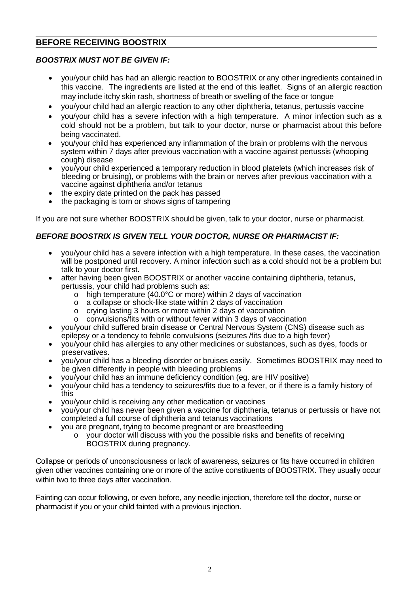# **BEFORE RECEIVING BOOSTRIX**

# *BOOSTRIX MUST NOT BE GIVEN IF:*

- you/your child has had an allergic reaction to BOOSTRIX or any other ingredients contained in this vaccine. The ingredients are listed at the end of this leaflet. Signs of an allergic reaction may include itchy skin rash, shortness of breath or swelling of the face or tongue
- you/your child had an allergic reaction to any other diphtheria, tetanus, pertussis vaccine
- you/your child has a severe infection with a high temperature. A minor infection such as a cold should not be a problem, but talk to your doctor, nurse or pharmacist about this before being vaccinated.
- you/your child has experienced any inflammation of the brain or problems with the nervous system within 7 days after previous vaccination with a vaccine against pertussis (whooping cough) disease
- you/your child experienced a temporary reduction in blood platelets (which increases risk of bleeding or bruising), or problems with the brain or nerves after previous vaccination with a vaccine against diphtheria and/or tetanus
- the expiry date printed on the pack has passed
- the packaging is torn or shows signs of tampering

If you are not sure whether BOOSTRIX should be given, talk to your doctor, nurse or pharmacist.

# *BEFORE BOOSTRIX IS GIVEN TELL YOUR DOCTOR, NURSE OR PHARMACIST IF:*

- you/your child has a severe infection with a high temperature. In these cases, the vaccination will be postponed until recovery. A minor infection such as a cold should not be a problem but talk to your doctor first.
- after having been given BOOSTRIX or another vaccine containing diphtheria, tetanus, pertussis, your child had problems such as:
	- o high temperature (40.0°C or more) within 2 days of vaccination
	- o a collapse or shock-like state within 2 days of vaccination
	- o crying lasting 3 hours or more within 2 days of vaccination
	- o convulsions/fits with or without fever within 3 days of vaccination
- you/your child suffered brain disease or Central Nervous System (CNS) disease such as epilepsy or a tendency to febrile convulsions (seizures /fits due to a high fever)
- you/your child has allergies to any other medicines or substances, such as dyes, foods or preservatives.
- you/your child has a bleeding disorder or bruises easily. Sometimes BOOSTRIX may need to be given differently in people with bleeding problems
- you/your child has an immune deficiency condition (eg. are HIV positive)
- you/your child has a tendency to seizures/fits due to a fever, or if there is a family history of this
- you/your child is receiving any other medication or vaccines
- you/your child has never been given a vaccine for diphtheria, tetanus or pertussis or have not completed a full course of diphtheria and tetanus vaccinations
- you are pregnant, trying to become pregnant or are breastfeeding
	- o your doctor will discuss with you the possible risks and benefits of receiving BOOSTRIX during pregnancy.

Collapse or periods of unconsciousness or lack of awareness, seizures or fits have occurred in children given other vaccines containing one or more of the active constituents of BOOSTRIX. They usually occur within two to three days after vaccination.

Fainting can occur following, or even before, any needle injection, therefore tell the doctor, nurse or pharmacist if you or your child fainted with a previous injection.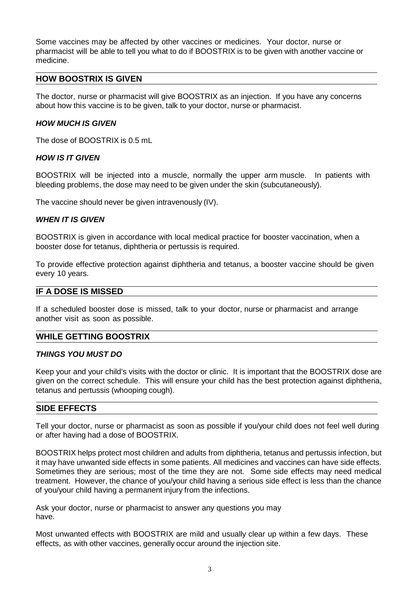Some vaccines may be affected by other vaccines or medicines. Your doctor, nurse or pharmacist will be able to tell you what to do if BOOSTRIX is to be given with another vaccine or medicine.

# **HOW BOOSTRIX IS GIVEN**

The doctor, nurse or pharmacist will give BOOSTRIX as an injection. If you have any concerns about how this vaccine is to be given, talk to your doctor, nurse or pharmacist.

# *HOW MUCH IS GIVEN*

The dose of BOOSTRIX is 0.5 mL

# *HOW IS IT GIVEN*

BOOSTRIX will be injected into a muscle, normally the upper arm muscle. In patients with bleeding problems, the dose may need to be given under the skin (subcutaneously).

The vaccine should never be given intravenously (IV).

#### *WHEN IT IS GIVEN*

BOOSTRIX is given in accordance with local medical practice for booster vaccination, when a booster dose for tetanus, diphtheria or pertussis is required.

To provide effective protection against diphtheria and tetanus, a booster vaccine should be given every 10 years.

### **IF A DOSE IS MISSED**

If a scheduled booster dose is missed, talk to your doctor, nurse or pharmacist and arrange another visit as soon as possible.

#### **WHILE GETTING BOOSTRIX**

#### *THINGS YOU MUST DO*

Keep your and your child's visits with the doctor or clinic. It is important that the BOOSTRIX dose are given on the correct schedule. This will ensure your child has the best protection against diphtheria, tetanus and pertussis (whooping cough).

# **SIDE EFFECTS**

Tell your doctor, nurse or pharmacist as soon as possible if you/your child does not feel well during or after having had a dose of BOOSTRIX.

BOOSTRIX helps protect most children and adults from diphtheria, tetanus and pertussis infection, but it may have unwanted side effects in some patients. All medicines and vaccines can have side effects. Sometimes they are serious; most of the time they are not. Some side effects may need medical treatment. However, the chance of you/your child having a serious side effect is less than the chance of you/your child having a permanent injury from the infections.

Ask your doctor, nurse or pharmacist to answer any questions you may have.

Most unwanted effects with BOOSTRIX are mild and usually clear up within a few days. These effects, as with other vaccines, generally occur around the injection site.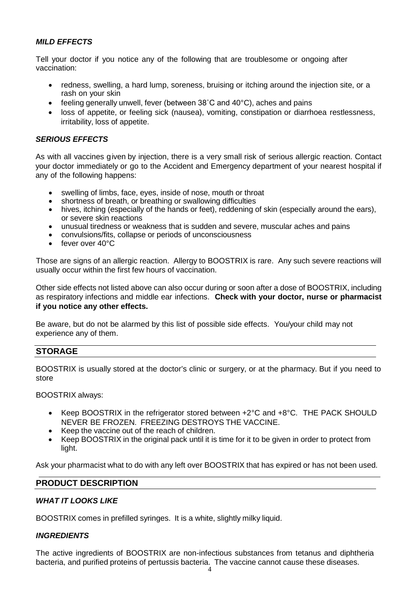# *MILD EFFECTS*

Tell your doctor if you notice any of the following that are troublesome or ongoing after vaccination:

- redness, swelling, a hard lump, soreness, bruising or itching around the injection site, or a rash on your skin
- feeling generally unwell, fever (between 38°C and 40°C), aches and pains
- loss of appetite, or feeling sick (nausea), vomiting, constipation or diarrhoea restlessness, irritability, loss of appetite.

# *SERIOUS EFFECTS*

As with all vaccines given by injection, there is a very small risk of serious allergic reaction. Contact your doctor immediately or go to the Accident and Emergency department of your nearest hospital if any of the following happens:

- swelling of limbs, face, eyes, inside of nose, mouth or throat
- shortness of breath, or breathing or swallowing difficulties
- hives, itching (especially of the hands or feet), reddening of skin (especially around the ears), or severe skin reactions
- unusual tiredness or weakness that is sudden and severe, muscular aches and pains
- convulsions/fits, collapse or periods of unconsciousness
- fever over 40°C

Those are signs of an allergic reaction. Allergy to BOOSTRIX is rare. Any such severe reactions will usually occur within the first few hours of vaccination.

Other side effects not listed above can also occur during or soon after a dose of BOOSTRIX, including as respiratory infections and middle ear infections. **Check with your doctor, nurse or pharmacist if you notice any other effects.**

Be aware, but do not be alarmed by this list of possible side effects. You/your child may not experience any of them.

# **STORAGE**

BOOSTRIX is usually stored at the doctor's clinic or surgery, or at the pharmacy. But if you need to store

BOOSTRIX always:

- Keep BOOSTRIX in the refrigerator stored between +2°C and +8°C. THE PACK SHOULD NEVER BE FROZEN. FREEZING DESTROYS THE VACCINE.
- Keep the vaccine out of the reach of children.
- Keep BOOSTRIX in the original pack until it is time for it to be given in order to protect from light.

Ask your pharmacist what to do with any left over BOOSTRIX that has expired or has not been used.

# **PRODUCT DESCRIPTION**

# *WHAT IT LOOKS LIKE*

BOOSTRIX comes in prefilled syringes. It is a white, slightly milky liquid.

# *INGREDIENTS*

The active ingredients of BOOSTRIX are non-infectious substances from tetanus and diphtheria bacteria, and purified proteins of pertussis bacteria. The vaccine cannot cause these diseases.